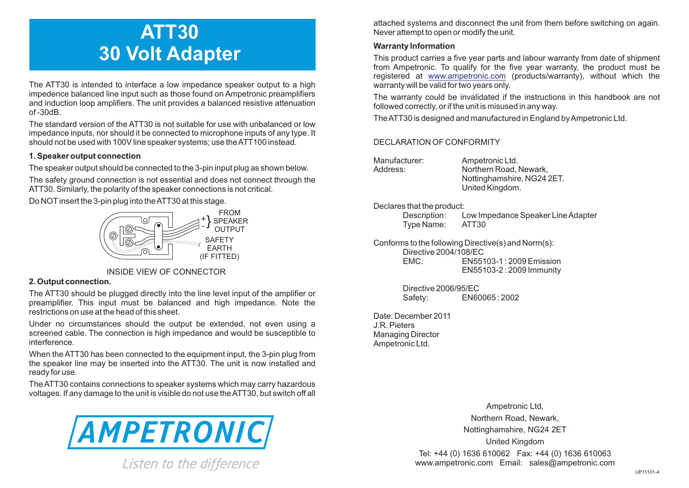# **ATT30 30 Volt Adapter**

The ATT30 is intended to interface a low impedance speaker output to a high impedence balanced line input such as those found on Ampetronic preamplifiers and induction loop amplifiers. The unit provides a balanced resistive attenuation of -30dB.

The standard version of the ATT30 is not suitable for use with unbalanced or low impedance inputs, nor should it be connected to microphone inputs of any type. It should not be used with 100V line speaker systems; use the ATT100 instead.

### **1. Speaker output connection**

The speaker output should be connected to the 3-pin input plug as shown below.

The safety ground connection is not essential and does not connect through the ATT30. Similarly, the polarity of the speaker connections is not critical.

Do NOTinsert the 3-pin plug into the ATT30 at this stage.



## INSIDE VIEW OF CONNECTOR

### **2. Output connection.**

The ATT30 should be plugged directly into the line level input of the amplifier or preamplifier. This input must be balanced and high impedance. Note the restrictions on use at the head of this sheet.

Under no circumstances should the output be extended, not even using a screened cable. The connection is high impedance and would be susceptible to interference.

When the ATT30 has been connected to the equipment input, the 3-pin plug from the speaker line may be inserted into the ATT30. The unit is now installed and ready for use.

The ATT30 contains connections to speaker systems which may carry hazardous voltages. If any damage to the unit is visible do not use the ATT30, but switch off all



Listen to the difference

attached systems and disconnect the unit from them before switching on again. Never attempt to open or modify the unit.

## **Warranty Information**

This product carries a five year parts and labour warranty from date of shipment from Ampetronic. To qualify for the five year warranty, the product must be registered at <u>www.ampetronic.com</u> (products/warranty), without which the warranty will be valid for two years only.

The warranty could be invalidated if the instructions in this handbook are not followed correctly, or if the unit is misused in any way.

The ATT30 is designed and manufactured in England by Ampetronic Ltd.

## DECLARATION OF CONFORMITY

Manufacturer: Ampetronic Ltd. Address: Northern Road, Newark, Nottinghamshire, NG24 2ET. United Kingdom.

### Declares that the product:

Description: Low Impedance Speaker Line Adapter Type Name:

Conforms to the following Directive(s) and Norm(s): Directive 2004/108/EC<br>EMC: EN551 EMC: EN55103-1 : 2009 Emission EN55103-2 : 2009 Immunity

> Directive 2006/95/EC Safety: EN60065 : 2002

Date: December 2011 J.R. Pieters Managing Director Ampetronic Ltd.

> Ampetronic Ltd, Northern Road, Newark, Nottinghamshire, NG24 2ET United Kingdom Tel: +44 (0) 1636 610062 Fax: +44 (0) 1636 610063 www.ampetronic.com Email: sales@ampetronic.com